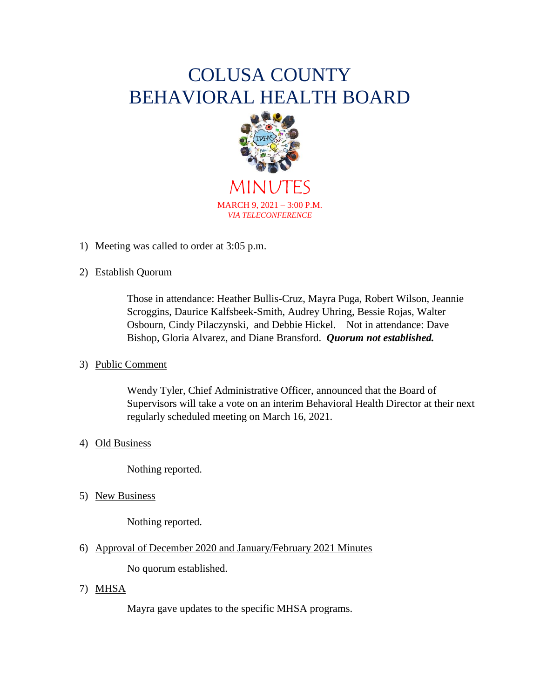# COLUSA COUNTY BEHAVIORAL HEALTH BOARD



MINUTES MARCH 9, 2021 – 3:00 P.M. *VIA TELECONFERENCE*

1) Meeting was called to order at 3:05 p.m.

### 2) Establish Quorum

Those in attendance: Heather Bullis-Cruz, Mayra Puga, Robert Wilson, Jeannie Scroggins, Daurice Kalfsbeek-Smith, Audrey Uhring, Bessie Rojas, Walter Osbourn, Cindy Pilaczynski, and Debbie Hickel. Not in attendance: Dave Bishop, Gloria Alvarez, and Diane Bransford. *Quorum not established.*

#### 3) Public Comment

Wendy Tyler, Chief Administrative Officer, announced that the Board of Supervisors will take a vote on an interim Behavioral Health Director at their next regularly scheduled meeting on March 16, 2021.

## 4) Old Business

Nothing reported.

5) New Business

Nothing reported.

6) Approval of December 2020 and January/February 2021 Minutes

No quorum established.

7) MHSA

Mayra gave updates to the specific MHSA programs.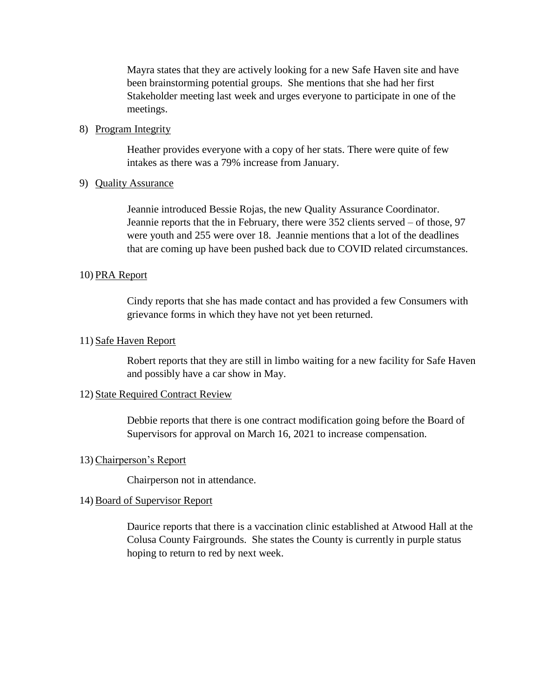Mayra states that they are actively looking for a new Safe Haven site and have been brainstorming potential groups. She mentions that she had her first Stakeholder meeting last week and urges everyone to participate in one of the meetings.

#### 8) Program Integrity

Heather provides everyone with a copy of her stats. There were quite of few intakes as there was a 79% increase from January.

#### 9) Quality Assurance

Jeannie introduced Bessie Rojas, the new Quality Assurance Coordinator. Jeannie reports that the in February, there were 352 clients served – of those, 97 were youth and 255 were over 18. Jeannie mentions that a lot of the deadlines that are coming up have been pushed back due to COVID related circumstances.

#### 10) PRA Report

Cindy reports that she has made contact and has provided a few Consumers with grievance forms in which they have not yet been returned.

#### 11) Safe Haven Report

Robert reports that they are still in limbo waiting for a new facility for Safe Haven and possibly have a car show in May.

#### 12) State Required Contract Review

Debbie reports that there is one contract modification going before the Board of Supervisors for approval on March 16, 2021 to increase compensation.

#### 13)Chairperson's Report

Chairperson not in attendance.

#### 14) Board of Supervisor Report

Daurice reports that there is a vaccination clinic established at Atwood Hall at the Colusa County Fairgrounds. She states the County is currently in purple status hoping to return to red by next week.